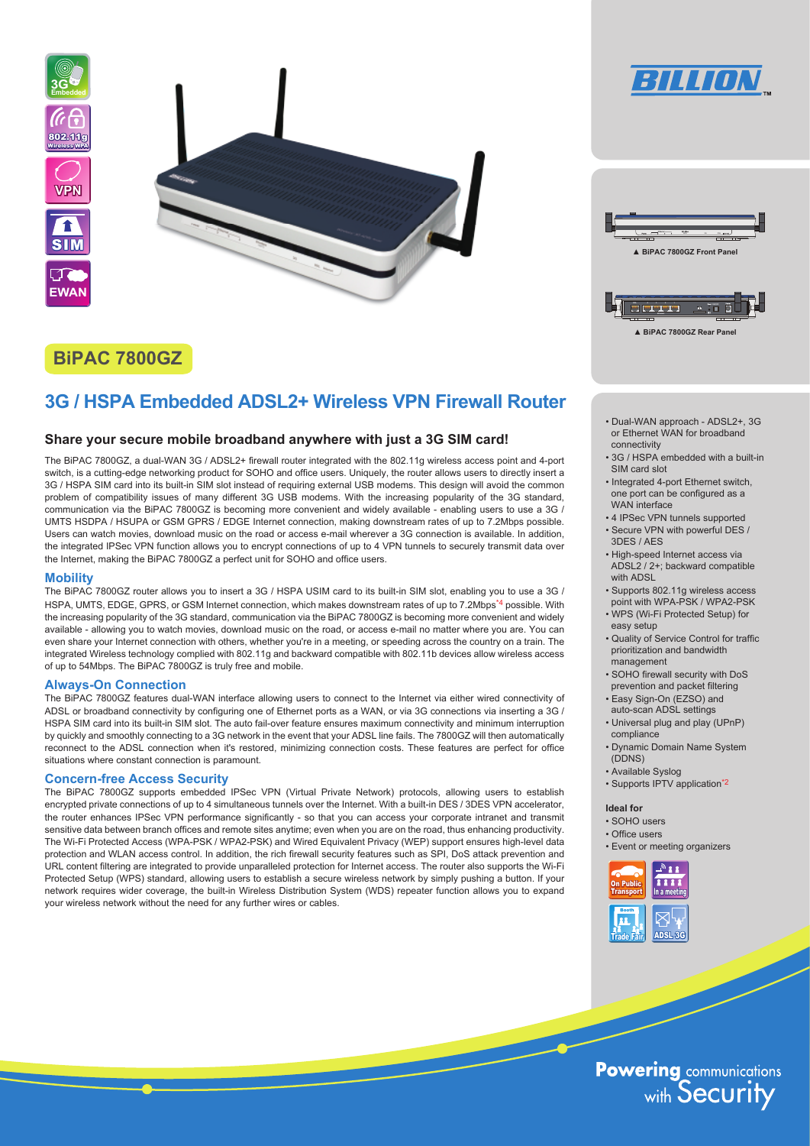

# **BiPAC 7800GZ**

# **3G / HSPA Embedded ADSL2+ Wireless VPN Firewall Router**

# **Share your secure mobile broadband anywhere with just a 3G SIM card!**

The BiPAC 7800GZ, a dual-WAN 3G / ADSL2+ firewall router integrated with the 802.11g wireless access point and 4-port switch, is a cutting-edge networking product for SOHO and office users. Uniquely, the router allows users to directly insert a 3G / HSPA SIM card into its built-in SIM slot instead of requiring external USB modems. This design will avoid the common problem of compatibility issues of many different 3G USB modems. With the increasing popularity of the 3G standard, communication via the BiPAC 7800GZ is becoming more convenient and widely available - enabling users to use a 3G / UMTS HSDPA / HSUPA or GSM GPRS / EDGE Internet connection, making downstream rates of up to 7.2Mbps possible. Users can watch movies, download music on the road or access e-mail wherever a 3G connection is available. In addition, the integrated IPSec VPN function allows you to encrypt connections of up to 4 VPN tunnels to securely transmit data over the Internet, making the BiPAC 7800GZ a perfect unit for SOHO and office users.

# **Mobility**

The BiPAC 7800GZ router allows you to insert a 3G / HSPA USIM card to its built-in SIM slot, enabling you to use a 3G / HSPA, UMTS, EDGE, GPRS, or GSM Internet connection, which makes downstream rates of up to 7.2Mbps<sup>\*4</sup> possible. With the increasing popularity of the 3G standard, communication via the BiPAC 7800GZ is becoming more convenient and widely available - allowing you to watch movies, download music on the road, or access e-mail no matter where you are. You can even share your Internet connection with others, whether you're in a meeting, or speeding across the country on a train. The integrated Wireless technology complied with 802.11g and backward compatible with 802.11b devices allow wireless access of up to 54Mbps. The BiPAC 7800GZ is truly free and mobile.

# **Always-On Connection**

The BiPAC 7800GZ features dual-WAN interface allowing users to connect to the Internet via either wired connectivity of ADSL or broadband connectivity by configuring one of Ethernet ports as a WAN, or via 3G connections via inserting a 3G / HSPA SIM card into its built-in SIM slot. The auto fail-over feature ensures maximum connectivity and minimum interruption by quickly and smoothly connecting to a 3G network in the event that your ADSL line fails. The 7800GZ will then automatically reconnect to the ADSL connection when it's restored, minimizing connection costs. These features are perfect for office situations where constant connection is paramount.

## **Concern-free Access Security**

The BiPAC 7800GZ supports embedded IPSec VPN (Virtual Private Network) protocols, allowing users to establish encrypted private connections of up to 4 simultaneous tunnels over the Internet. With a built-in DES / 3DES VPN accelerator, the router enhances IPSec VPN performance significantly - so that you can access your corporate intranet and transmit sensitive data between branch offices and remote sites anytime; even when you are on the road, thus enhancing productivity. The Wi-Fi Protected Access (WPA-PSK / WPA2-PSK) and Wired Equivalent Privacy (WEP) support ensures high-level data protection and WLAN access control. In addition, the rich firewall security features such as SPI, DoS attack prevention and URL content filtering are integrated to provide unparalleled protection for Internet access. The router also supports the Wi-Fi Protected Setup (WPS) standard, allowing users to establish a secure wireless network by simply pushing a button. If your network requires wider coverage, the built-in Wireless Distribution System (WDS) repeater function allows you to expand your wireless network without the need for any further wires or cables.





**▲ BiPAC 7800GZ Rear Panel**

- Dual-WAN approach ADSL2+, 3G or Ethernet WAN for broadband connectivity
- 3G / HSPA embedded with a built-in SIM card slot
- Integrated 4-port Ethernet switch, one port can be configured as a WAN interface
- 4 IPSec VPN tunnels supported • Secure VPN with powerful DES /
- 3DES / AES • High-speed Internet access via
- ADSL2 / 2+; backward compatible with ADSL
- Supports 802.11g wireless access point with WPA-PSK / WPA2-PSK
- WPS (Wi-Fi Protected Setup) for easy setup
- Quality of Service Control for traffic prioritization and bandwidth management
- SOHO firewall security with DoS prevention and packet filtering
- Easy Sign-On (EZSO) and auto-scan ADSL settings
- Universal plug and play (UPnP) compliance
- Dynamic Domain Name System (DDNS)
- Available Syslog
- Supports IPTV application\*2

## **Ideal for**

- SOHO users
- Office users
- Event or meeting organizers



**Powering communications**<br>with Security